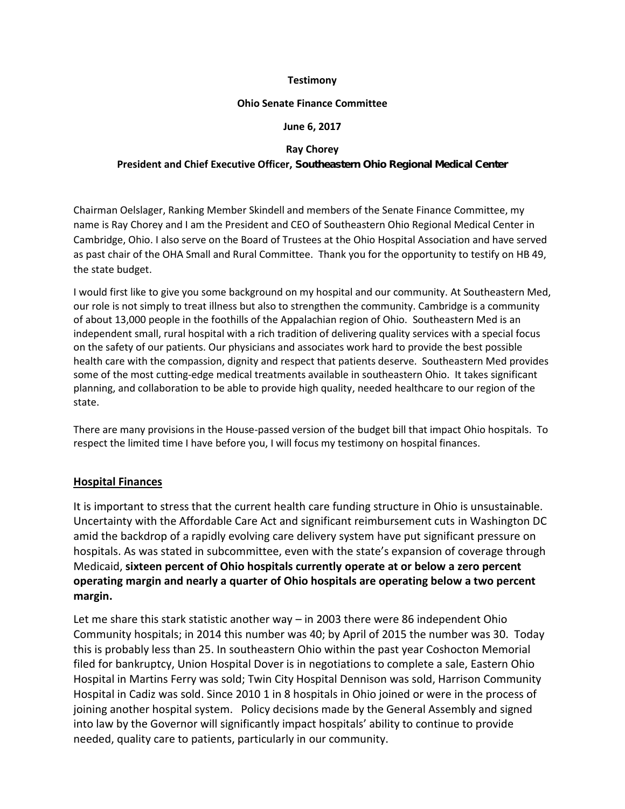#### **Testimony**

#### **Ohio Senate Finance Committee**

### **June 6, 2017**

#### **Ray Chorey**

## **President and Chief Executive Officer, Southeastern Ohio Regional Medical Center**

Chairman Oelslager, Ranking Member Skindell and members of the Senate Finance Committee, my name is Ray Chorey and I am the President and CEO of Southeastern Ohio Regional Medical Center in Cambridge, Ohio. I also serve on the Board of Trustees at the Ohio Hospital Association and have served as past chair of the OHA Small and Rural Committee. Thank you for the opportunity to testify on HB 49, the state budget.

I would first like to give you some background on my hospital and our community. At Southeastern Med, our role is not simply to treat illness but also to strengthen the community. Cambridge is a community of about 13,000 people in the foothills of the Appalachian region of Ohio. Southeastern Med is an independent small, rural hospital with a rich tradition of delivering quality services with a special focus on the safety of our patients. Our physicians and associates work hard to provide the best possible health care with the compassion, dignity and respect that patients deserve. Southeastern Med provides some of the most cutting-edge medical treatments available in southeastern Ohio. It takes significant planning, and collaboration to be able to provide high quality, needed healthcare to our region of the state.

There are many provisions in the House-passed version of the budget bill that impact Ohio hospitals. To respect the limited time I have before you, I will focus my testimony on hospital finances.

# **Hospital Finances**

It is important to stress that the current health care funding structure in Ohio is unsustainable. Uncertainty with the Affordable Care Act and significant reimbursement cuts in Washington DC amid the backdrop of a rapidly evolving care delivery system have put significant pressure on hospitals. As was stated in subcommittee, even with the state's expansion of coverage through Medicaid, **sixteen percent of Ohio hospitals currently operate at or below a zero percent operating margin and nearly a quarter of Ohio hospitals are operating below a two percent margin.**

Let me share this stark statistic another way – in 2003 there were 86 independent Ohio Community hospitals; in 2014 this number was 40; by April of 2015 the number was 30. Today this is probably less than 25. In southeastern Ohio within the past year Coshocton Memorial filed for bankruptcy, Union Hospital Dover is in negotiations to complete a sale, Eastern Ohio Hospital in Martins Ferry was sold; Twin City Hospital Dennison was sold, Harrison Community Hospital in Cadiz was sold. Since 2010 1 in 8 hospitals in Ohio joined or were in the process of joining another hospital system. Policy decisions made by the General Assembly and signed into law by the Governor will significantly impact hospitals' ability to continue to provide needed, quality care to patients, particularly in our community.